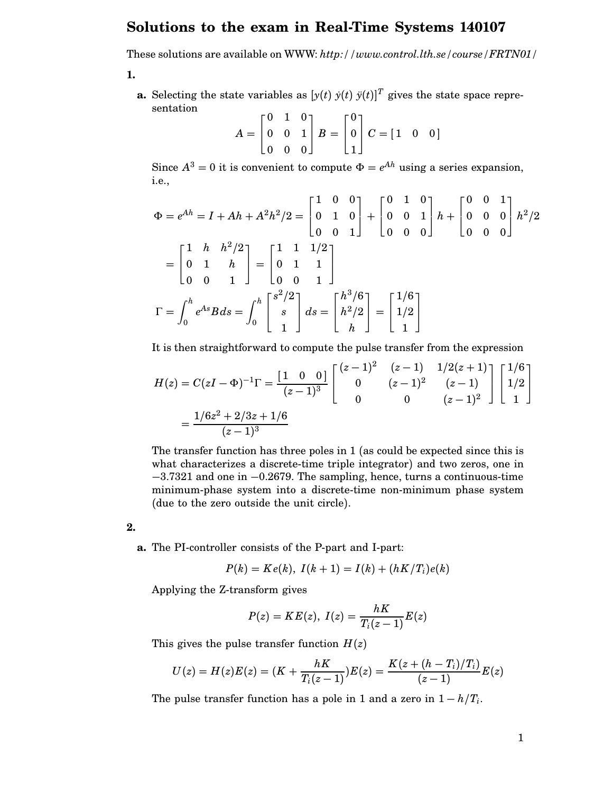## **Solutions to the exam in Real-Time Systems 140107**

These solutions are available on WWW: *http://www.control.lth.se/course/FRTN01/*

**1.**

**a.** Selecting the state variables as  $[y(t) y(t) y(t)]^T$  gives the state space representation

$$
A = \begin{bmatrix} 0 & 1 & 0 \\ 0 & 0 & 1 \\ 0 & 0 & 0 \end{bmatrix} B = \begin{bmatrix} 0 \\ 0 \\ 1 \end{bmatrix} C = \begin{bmatrix} 1 & 0 & 0 \end{bmatrix}
$$

Since  $A^3 = 0$  it is convenient to compute  $\Phi = e^{Ah}$  using a series expansion, i.e.,

$$
\Phi = e^{Ah} = I + Ah + A^2h^2/2 = \begin{bmatrix} 1 & 0 & 0 \\ 0 & 1 & 0 \\ 0 & 0 & 1 \end{bmatrix} + \begin{bmatrix} 0 & 1 & 0 \\ 0 & 0 & 1 \\ 0 & 0 & 0 \end{bmatrix} h + \begin{bmatrix} 0 & 0 & 1 \\ 0 & 0 & 0 \\ 0 & 0 & 0 \end{bmatrix} h^2/2
$$

$$
= \begin{bmatrix} 1 & h & h^2/2 \\ 0 & 1 & h \\ 0 & 0 & 1 \end{bmatrix} = \begin{bmatrix} 1 & 1 & 1/2 \\ 0 & 1 & 1 \\ 0 & 0 & 1 \end{bmatrix}
$$

$$
\Gamma = \int_0^h e^{As} B ds = \int_0^h \begin{bmatrix} s^2/2 \\ s \\ 1 \end{bmatrix} ds = \begin{bmatrix} h^3/6 \\ h^2/2 \\ h \end{bmatrix} = \begin{bmatrix} 1/6 \\ 1/2 \\ 1 \end{bmatrix}
$$

It is then straightforward to compute the pulse transfer from the expression

$$
H(z) = C(zI - \Phi)^{-1} \Gamma = \frac{[1 \ 0 \ 0 \ 0]}{(z - 1)^3} \begin{bmatrix} (z - 1)^2 & (z - 1) & 1/2(z + 1) \\ 0 & (z - 1)^2 & (z - 1) \\ 0 & 0 & (z - 1)^2 \end{bmatrix} \begin{bmatrix} 1/6 \\ 1/2 \\ 1 \end{bmatrix}
$$

$$
= \frac{1/6z^2 + 2/3z + 1/6}{(z - 1)^3}
$$

The transfer function has three poles in 1 (as could be expected since this is what characterizes a discrete-time triple integrator) and two zeros, one in −3.7321 and one in −0.2679. The sampling, hence, turns a continuous-time minimum-phase system into a discrete-time non-minimum phase system (due to the zero outside the unit circle).

**2.**

**a.** The PI-controller consists of the P-part and I-part:

$$
P(k) = Ke(k), I(k+1) = I(k) + (hK/T_i)e(k)
$$

Applying the Z-transform gives

$$
P(z)=KE(z),\;I(z)=\frac{hK}{T_i(z-1)}E(z)
$$

This gives the pulse transfer function  $H(z)$ 

$$
U(z) = H(z)E(z) = (K + \frac{hK}{T_i(z-1)})E(z) = \frac{K(z + (h - T_i)/T_i)}{(z-1)}E(z)
$$

The pulse transfer function has a pole in 1 and a zero in  $1 - h/T_i$ .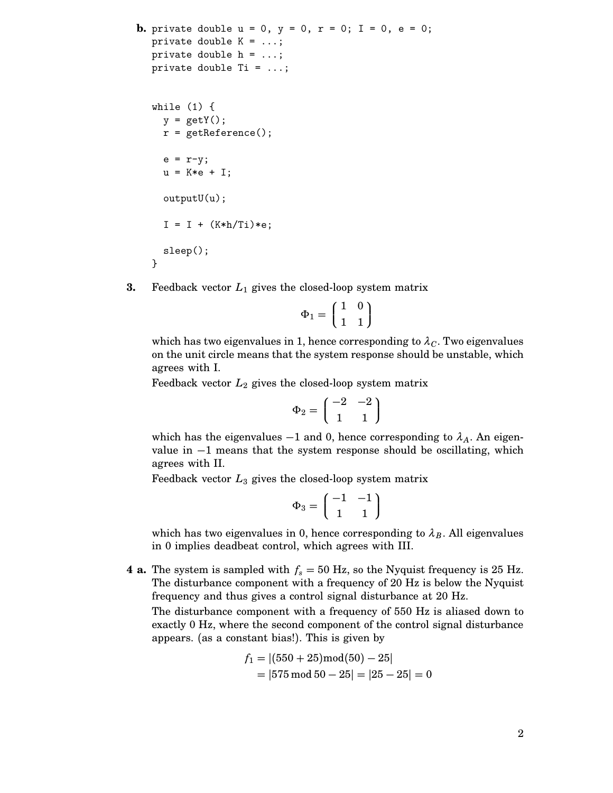```
b. private double u = 0, y = 0, r = 0; I = 0, e = 0;
  private double K = ...;private double h = ...;private double Ti = ...;
  while (1) {
    y = getY();
    r = getReference();
    e = r-y;u = K*e + I;outputU(u);
    I = I + (K*h/Ti)*e;sleep();
  }
```
**3.** Feedback vector  $L_1$  gives the closed-loop system matrix

$$
\Phi_1 = \begin{pmatrix} 1 & 0 \\ 1 & 1 \end{pmatrix}
$$

which has two eigenvalues in 1, hence corresponding to  $\lambda_c$ . Two eigenvalues on the unit circle means that the system response should be unstable, which agrees with I.

Feedback vector *L*<sup>2</sup> gives the closed-loop system matrix

$$
\Phi_2 = \begin{pmatrix} -2 & -2 \\ 1 & 1 \end{pmatrix}
$$

which has the eigenvalues  $-1$  and 0, hence corresponding to  $\lambda_A$ . An eigenvalue in −1 means that the system response should be oscillating, which agrees with II.

Feedback vector *L*<sup>3</sup> gives the closed-loop system matrix

$$
\Phi_3 = \begin{pmatrix} -1 & -1 \\ 1 & 1 \end{pmatrix}
$$

which has two eigenvalues in 0, hence corresponding to  $\lambda_B$ . All eigenvalues in 0 implies deadbeat control, which agrees with III.

**4 a.** The system is sampled with  $f_s = 50$  Hz, so the Nyquist frequency is 25 Hz. The disturbance component with a frequency of 20 Hz is below the Nyquist frequency and thus gives a control signal disturbance at 20 Hz.

The disturbance component with a frequency of 550 Hz is aliased down to exactly 0 Hz, where the second component of the control signal disturbance appears. (as a constant bias!). This is given by

$$
f_1 = |(550 + 25) \text{mod}(50) - 25|
$$
  
= |575 mod 50 - 25| = |25 - 25| = 0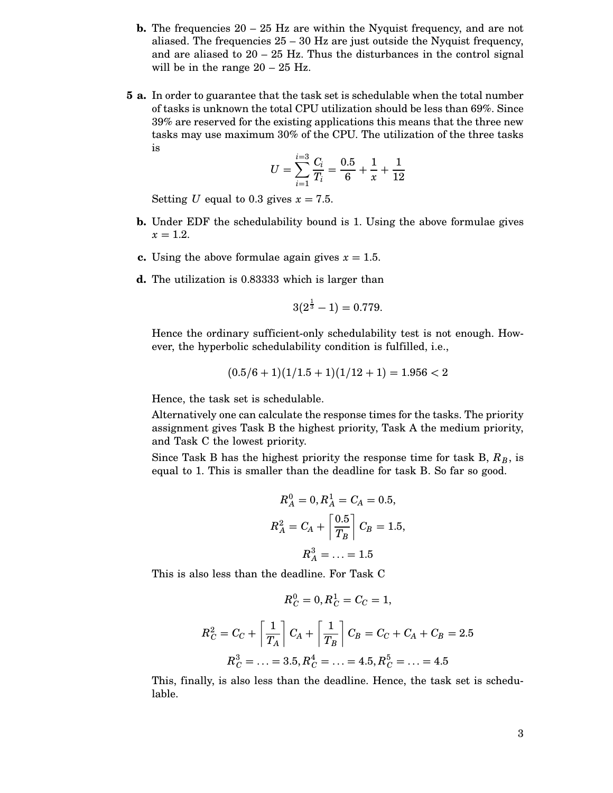- **b.** The frequencies  $20 25$  Hz are within the Nyquist frequency, and are not aliased. The frequencies  $25 - 30$  Hz are just outside the Nyquist frequency, and are aliased to  $20 - 25$  Hz. Thus the disturbances in the control signal will be in the range  $20 - 25$  Hz.
- **5 a.** In order to guarantee that the task set is schedulable when the total number of tasks is unknown the total CPU utilization should be less than 69%. Since 39% are reserved for the existing applications this means that the three new tasks may use maximum 30% of the CPU. The utilization of the three tasks is *i*=3

$$
U = \sum_{i=1}^{i=3} \frac{C_i}{T_i} = \frac{0.5}{6} + \frac{1}{x} + \frac{1}{12}
$$

Setting *U* equal to 0.3 gives  $x = 7.5$ .

- **b.** Under EDF the schedulability bound is 1. Using the above formulae gives  $x = 1.2$ .
- **c.** Using the above formulae again gives  $x = 1.5$ .
- **d.** The utilization is 0.83333 which is larger than

$$
3(2^{\frac{1}{3}}-1)=0.779.
$$

Hence the ordinary sufficient-only schedulability test is not enough. However, the hyperbolic schedulability condition is fulfilled, i.e.,

$$
(0.5/6+1)(1/1.5+1)(1/12+1) = 1.956 < 2
$$

Hence, the task set is schedulable.

Alternatively one can calculate the response times for the tasks. The priority assignment gives Task B the highest priority, Task A the medium priority, and Task C the lowest priority.

Since Task B has the highest priority the response time for task B,  $R_B$ , is equal to 1. This is smaller than the deadline for task B. So far so good.

$$
R_A^0 = 0, R_A^1 = C_A = 0.5,
$$
  

$$
R_A^2 = C_A + \left[\frac{0.5}{T_B}\right] C_B = 1.5,
$$
  

$$
R_A^3 = \dots = 1.5
$$

This is also less than the deadline. For Task C

$$
R_C^0 = 0, R_C^1 = C_C = 1,
$$

$$
R_C^2 = C_C + \left\lceil \frac{1}{T_A} \right\rceil C_A + \left\lceil \frac{1}{T_B} \right\rceil C_B = C_C + C_A + C_B = 2.5
$$
  

$$
R_C^3 = \dots = 3.5, R_C^4 = \dots = 4.5, R_C^5 = \dots = 4.5
$$

This, finally, is also less than the deadline. Hence, the task set is schedulable.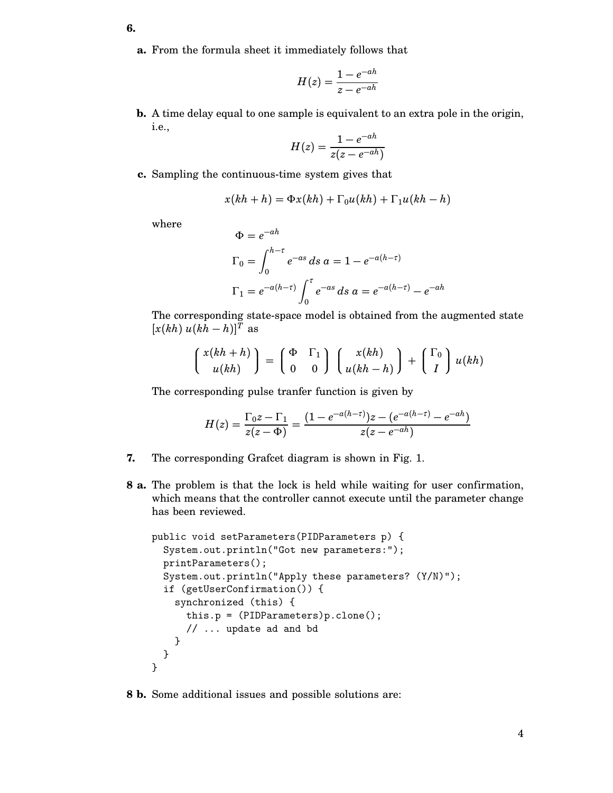- **6.**
	- **a.** From the formula sheet it immediately follows that

$$
H(z) = \frac{1 - e^{-ah}}{z - e^{-ah}}
$$

**b.** A time delay equal to one sample is equivalent to an extra pole in the origin, i.e.,

$$
H(z) = \frac{1 - e^{-ah}}{z(z - e^{-ah})}
$$

**c.** Sampling the continuous-time system gives that

$$
x(kh + h) = \Phi x(kh) + \Gamma_0 u(kh) + \Gamma_1 u(kh - h)
$$

where

$$
\Phi = e^{-ah}
$$
  
\n
$$
\Gamma_0 = \int_0^{h-\tau} e^{-as} ds \ a = 1 - e^{-a(h-\tau)}
$$
  
\n
$$
\Gamma_1 = e^{-a(h-\tau)} \int_0^{\tau} e^{-as} ds \ a = e^{-a(h-\tau)} - e^{-ah}
$$

The corresponding state-space model is obtained from the augmented state  $[x(kh) u(kh - h)]^T$  as

$$
\begin{pmatrix} x(kh+h) \\ u(kh) \end{pmatrix} = \begin{pmatrix} \Phi & \Gamma_1 \\ 0 & 0 \end{pmatrix} \begin{pmatrix} x(kh) \\ u(kh-h) \end{pmatrix} + \begin{pmatrix} \Gamma_0 \\ I \end{pmatrix} u(kh)
$$

The corresponding pulse tranfer function is given by

$$
H(z) = \frac{\Gamma_0 z - \Gamma_1}{z(z - \Phi)} = \frac{(1 - e^{-a(h - \tau)})z - (e^{-a(h - \tau)} - e^{-ah})}{z(z - e^{-ah})}
$$

- **7.** The corresponding Grafcet diagram is shown in Fig. 1.
- **8 a.** The problem is that the lock is held while waiting for user confirmation, which means that the controller cannot execute until the parameter change has been reviewed.

```
public void setParameters(PIDParameters p) {
  System.out.println("Got new parameters:");
  printParameters();
  System.out.println("Apply these parameters? (Y/N)");
  if (getUserConfirmation()) {
    synchronized (this) {
      this.p = (PIDParameters)p.clone();
      // ... update ad and bd
    }
  }
}
```
**8 b.** Some additional issues and possible solutions are: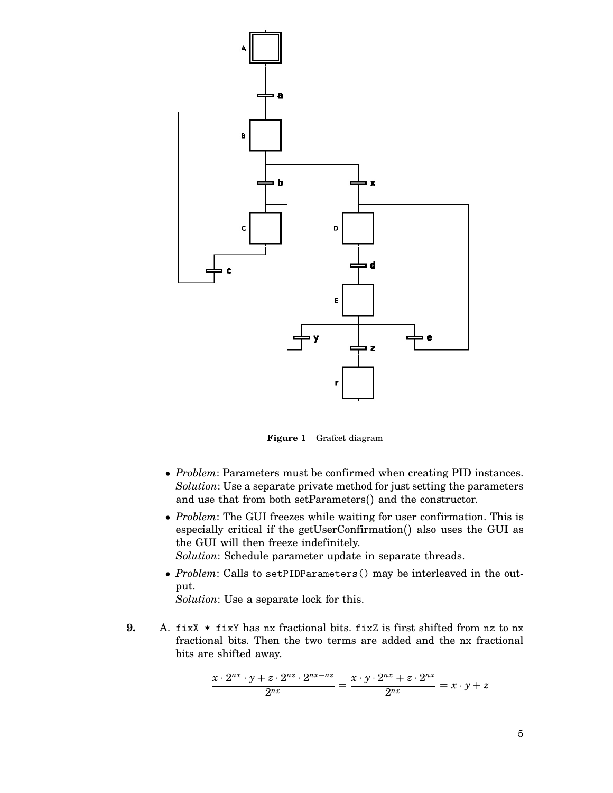

**Figure 1** Grafcet diagram

- *Problem*: Parameters must be confirmed when creating PID instances. *Solution*: Use a separate private method for just setting the parameters and use that from both setParameters() and the constructor.
- *Problem*: The GUI freezes while waiting for user confirmation. This is especially critical if the getUserConfirmation() also uses the GUI as the GUI will then freeze indefinitely.

*Solution*: Schedule parameter update in separate threads.

• *Problem*: Calls to setPIDParameters() may be interleaved in the output.

*Solution*: Use a separate lock for this.

**9.** A. fixX \* fixY has nx fractional bits. fixZ is first shifted from nz to nx fractional bits. Then the two terms are added and the nx fractional bits are shifted away.

$$
\frac{x \cdot 2^{nx} \cdot y + z \cdot 2^{nz} \cdot 2^{nx - nz}}{2^{nx}} = \frac{x \cdot y \cdot 2^{nx} + z \cdot 2^{nx}}{2^{nx}} = x \cdot y + z
$$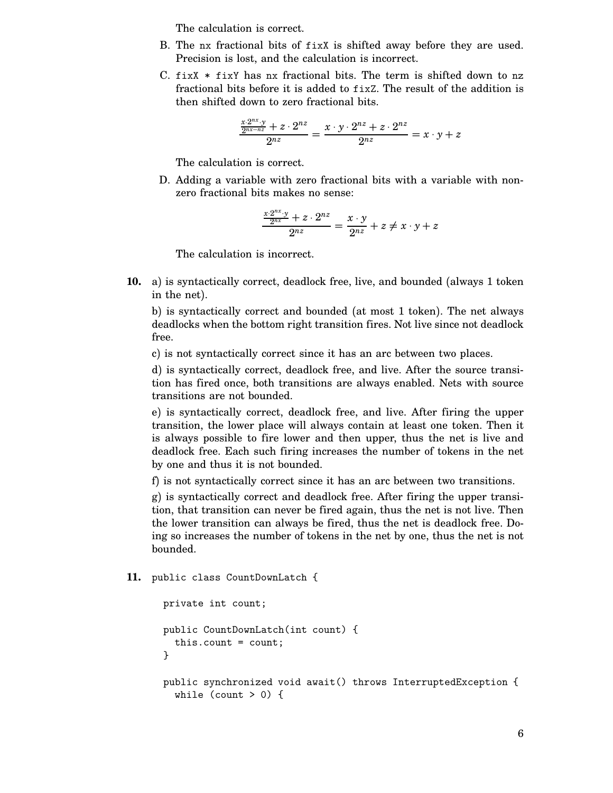The calculation is correct.

- B. The nx fractional bits of fixX is shifted away before they are used. Precision is lost, and the calculation is incorrect.
- C. fixX  $*$  fixY has nx fractional bits. The term is shifted down to nz fractional bits before it is added to fixZ. The result of the addition is then shifted down to zero fractional bits.

$$
\frac{x \cdot 2^{nx} \cdot y}{2^{nx - nz}} + z \cdot 2^{nz} = \frac{x \cdot y \cdot 2^{nz} + z \cdot 2^{nz}}{2^{nz}} = x \cdot y + z
$$

The calculation is correct.

D. Adding a variable with zero fractional bits with a variable with nonzero fractional bits makes no sense:

$$
\frac{\frac{x \cdot 2^{nx} \cdot y}{2^{nx}} + z \cdot 2^{nz}}{2^{nz}} = \frac{x \cdot y}{2^{nz}} + z \neq x \cdot y + z
$$

The calculation is incorrect.

**10.** a) is syntactically correct, deadlock free, live, and bounded (always 1 token in the net).

b) is syntactically correct and bounded (at most 1 token). The net always deadlocks when the bottom right transition fires. Not live since not deadlock free.

c) is not syntactically correct since it has an arc between two places.

d) is syntactically correct, deadlock free, and live. After the source transition has fired once, both transitions are always enabled. Nets with source transitions are not bounded.

e) is syntactically correct, deadlock free, and live. After firing the upper transition, the lower place will always contain at least one token. Then it is always possible to fire lower and then upper, thus the net is live and deadlock free. Each such firing increases the number of tokens in the net by one and thus it is not bounded.

f) is not syntactically correct since it has an arc between two transitions.

g) is syntactically correct and deadlock free. After firing the upper transition, that transition can never be fired again, thus the net is not live. Then the lower transition can always be fired, thus the net is deadlock free. Doing so increases the number of tokens in the net by one, thus the net is not bounded.

## **11.** public class CountDownLatch {

```
private int count;
public CountDownLatch(int count) {
  this.count = count;
}
public synchronized void await() throws InterruptedException {
  while (count > 0) {
```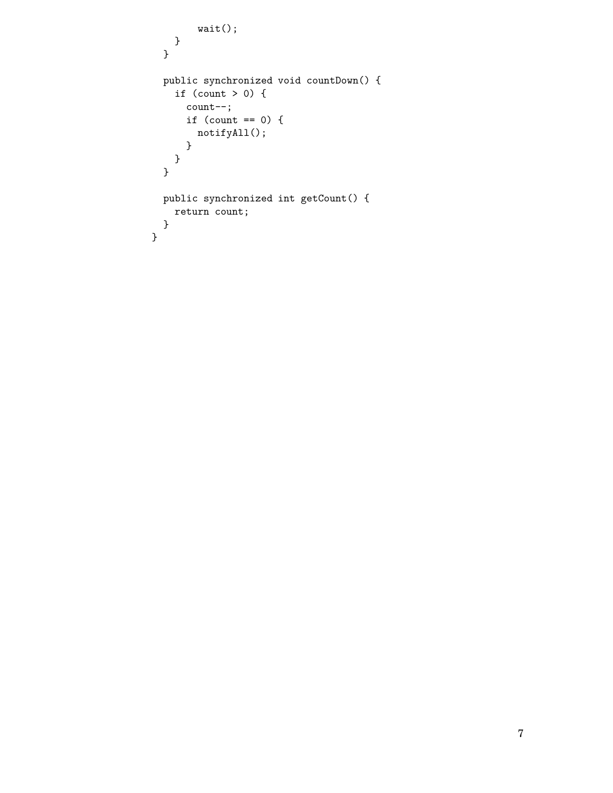```
wait();
   }
 }
 public synchronized void countDown() {
   if (count > 0) {
      count--;
      if (count == 0) {
       notifyAll();
     }
   }
 }
 public synchronized int getCount() {
   return count;
 }
}
```